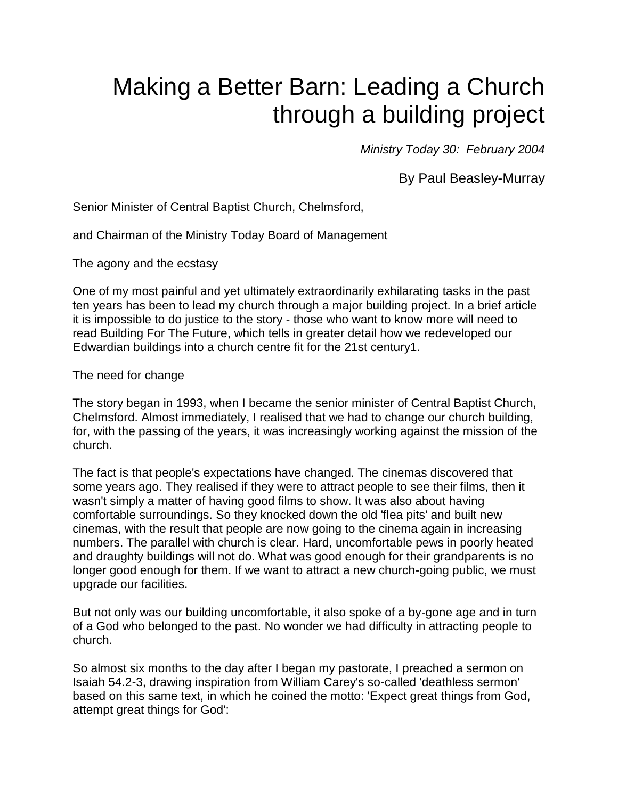# Making a Better Barn: Leading a Church through a building project

*Ministry Today 30: February 2004*

By Paul Beasley-Murray

Senior Minister of Central Baptist Church, Chelmsford,

and Chairman of the Ministry Today Board of Management

The agony and the ecstasy

One of my most painful and yet ultimately extraordinarily exhilarating tasks in the past ten years has been to lead my church through a major building project. In a brief article it is impossible to do justice to the story - those who want to know more will need to read Building For The Future, which tells in greater detail how we redeveloped our Edwardian buildings into a church centre fit for the 21st century1.

The need for change

The story began in 1993, when I became the senior minister of Central Baptist Church, Chelmsford. Almost immediately, I realised that we had to change our church building, for, with the passing of the years, it was increasingly working against the mission of the church.

The fact is that people's expectations have changed. The cinemas discovered that some years ago. They realised if they were to attract people to see their films, then it wasn't simply a matter of having good films to show. It was also about having comfortable surroundings. So they knocked down the old 'flea pits' and built new cinemas, with the result that people are now going to the cinema again in increasing numbers. The parallel with church is clear. Hard, uncomfortable pews in poorly heated and draughty buildings will not do. What was good enough for their grandparents is no longer good enough for them. If we want to attract a new church-going public, we must upgrade our facilities.

But not only was our building uncomfortable, it also spoke of a by-gone age and in turn of a God who belonged to the past. No wonder we had difficulty in attracting people to church.

So almost six months to the day after I began my pastorate, I preached a sermon on Isaiah 54.2-3, drawing inspiration from William Carey's so-called 'deathless sermon' based on this same text, in which he coined the motto: 'Expect great things from God, attempt great things for God':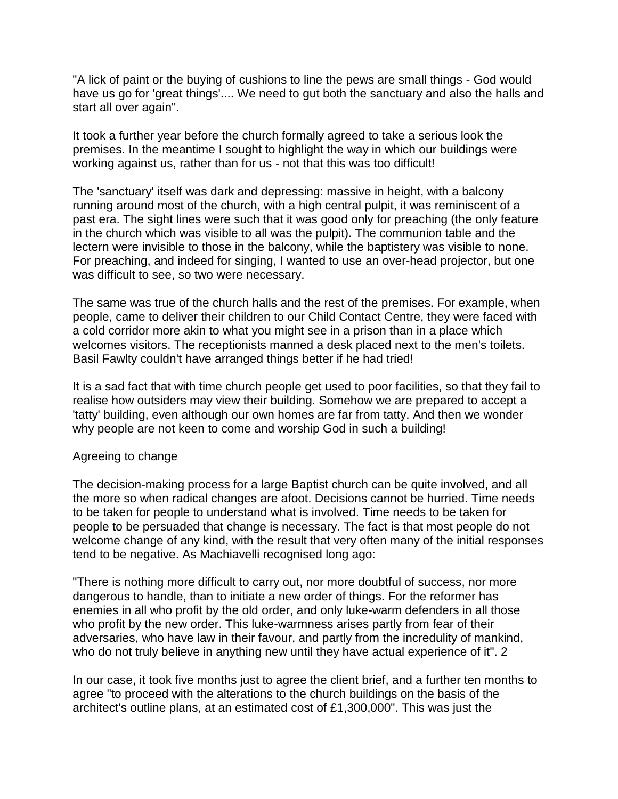"A lick of paint or the buying of cushions to line the pews are small things - God would have us go for 'great things'.... We need to gut both the sanctuary and also the halls and start all over again".

It took a further year before the church formally agreed to take a serious look the premises. In the meantime I sought to highlight the way in which our buildings were working against us, rather than for us - not that this was too difficult!

The 'sanctuary' itself was dark and depressing: massive in height, with a balcony running around most of the church, with a high central pulpit, it was reminiscent of a past era. The sight lines were such that it was good only for preaching (the only feature in the church which was visible to all was the pulpit). The communion table and the lectern were invisible to those in the balcony, while the baptistery was visible to none. For preaching, and indeed for singing, I wanted to use an over-head projector, but one was difficult to see, so two were necessary.

The same was true of the church halls and the rest of the premises. For example, when people, came to deliver their children to our Child Contact Centre, they were faced with a cold corridor more akin to what you might see in a prison than in a place which welcomes visitors. The receptionists manned a desk placed next to the men's toilets. Basil Fawlty couldn't have arranged things better if he had tried!

It is a sad fact that with time church people get used to poor facilities, so that they fail to realise how outsiders may view their building. Somehow we are prepared to accept a 'tatty' building, even although our own homes are far from tatty. And then we wonder why people are not keen to come and worship God in such a building!

#### Agreeing to change

The decision-making process for a large Baptist church can be quite involved, and all the more so when radical changes are afoot. Decisions cannot be hurried. Time needs to be taken for people to understand what is involved. Time needs to be taken for people to be persuaded that change is necessary. The fact is that most people do not welcome change of any kind, with the result that very often many of the initial responses tend to be negative. As Machiavelli recognised long ago:

"There is nothing more difficult to carry out, nor more doubtful of success, nor more dangerous to handle, than to initiate a new order of things. For the reformer has enemies in all who profit by the old order, and only luke-warm defenders in all those who profit by the new order. This luke-warmness arises partly from fear of their adversaries, who have law in their favour, and partly from the incredulity of mankind, who do not truly believe in anything new until they have actual experience of it". 2

In our case, it took five months just to agree the client brief, and a further ten months to agree "to proceed with the alterations to the church buildings on the basis of the architect's outline plans, at an estimated cost of £1,300,000". This was just the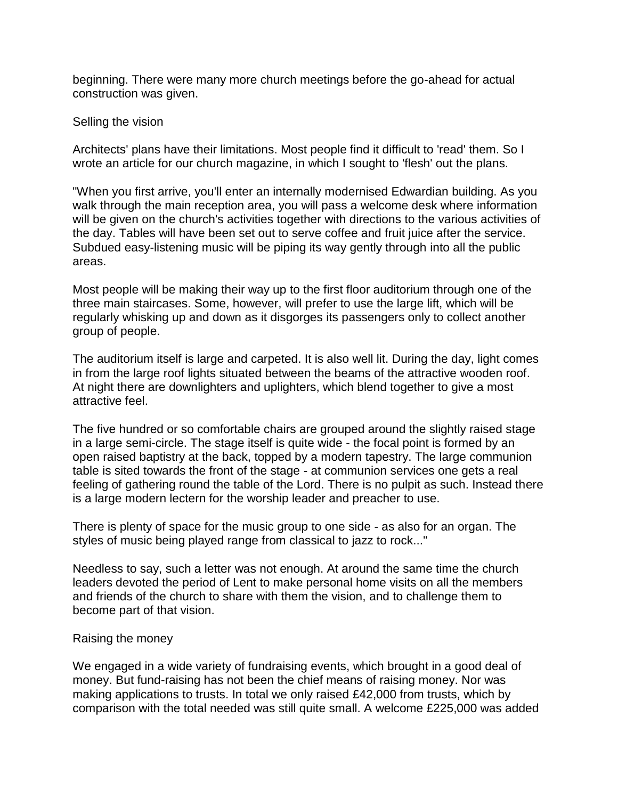beginning. There were many more church meetings before the go-ahead for actual construction was given.

#### Selling the vision

Architects' plans have their limitations. Most people find it difficult to 'read' them. So I wrote an article for our church magazine, in which I sought to 'flesh' out the plans.

"When you first arrive, you'll enter an internally modernised Edwardian building. As you walk through the main reception area, you will pass a welcome desk where information will be given on the church's activities together with directions to the various activities of the day. Tables will have been set out to serve coffee and fruit juice after the service. Subdued easy-listening music will be piping its way gently through into all the public areas.

Most people will be making their way up to the first floor auditorium through one of the three main staircases. Some, however, will prefer to use the large lift, which will be regularly whisking up and down as it disgorges its passengers only to collect another group of people.

The auditorium itself is large and carpeted. It is also well lit. During the day, light comes in from the large roof lights situated between the beams of the attractive wooden roof. At night there are downlighters and uplighters, which blend together to give a most attractive feel.

The five hundred or so comfortable chairs are grouped around the slightly raised stage in a large semi-circle. The stage itself is quite wide - the focal point is formed by an open raised baptistry at the back, topped by a modern tapestry. The large communion table is sited towards the front of the stage - at communion services one gets a real feeling of gathering round the table of the Lord. There is no pulpit as such. Instead there is a large modern lectern for the worship leader and preacher to use.

There is plenty of space for the music group to one side - as also for an organ. The styles of music being played range from classical to jazz to rock..."

Needless to say, such a letter was not enough. At around the same time the church leaders devoted the period of Lent to make personal home visits on all the members and friends of the church to share with them the vision, and to challenge them to become part of that vision.

# Raising the money

We engaged in a wide variety of fundraising events, which brought in a good deal of money. But fund-raising has not been the chief means of raising money. Nor was making applications to trusts. In total we only raised £42,000 from trusts, which by comparison with the total needed was still quite small. A welcome £225,000 was added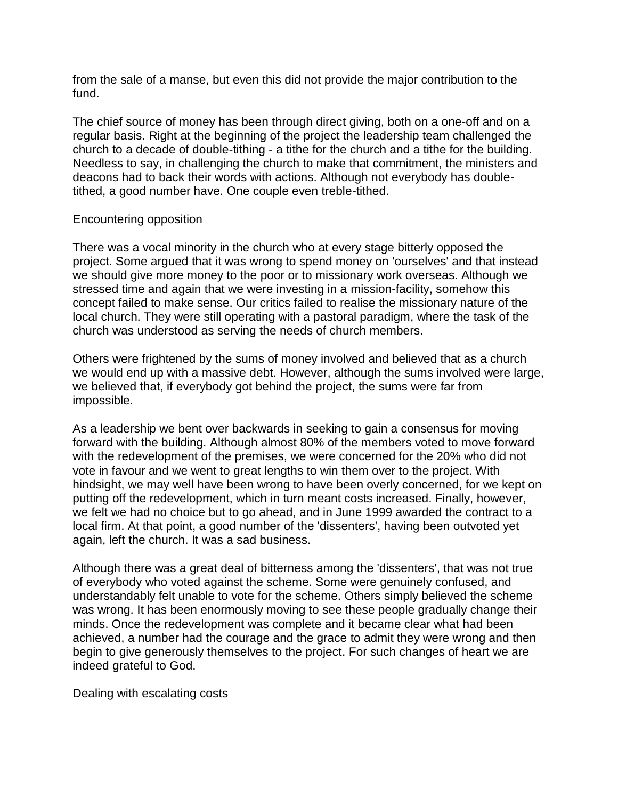from the sale of a manse, but even this did not provide the major contribution to the fund.

The chief source of money has been through direct giving, both on a one-off and on a regular basis. Right at the beginning of the project the leadership team challenged the church to a decade of double-tithing - a tithe for the church and a tithe for the building. Needless to say, in challenging the church to make that commitment, the ministers and deacons had to back their words with actions. Although not everybody has doubletithed, a good number have. One couple even treble-tithed.

## Encountering opposition

There was a vocal minority in the church who at every stage bitterly opposed the project. Some argued that it was wrong to spend money on 'ourselves' and that instead we should give more money to the poor or to missionary work overseas. Although we stressed time and again that we were investing in a mission-facility, somehow this concept failed to make sense. Our critics failed to realise the missionary nature of the local church. They were still operating with a pastoral paradigm, where the task of the church was understood as serving the needs of church members.

Others were frightened by the sums of money involved and believed that as a church we would end up with a massive debt. However, although the sums involved were large, we believed that, if everybody got behind the project, the sums were far from impossible.

As a leadership we bent over backwards in seeking to gain a consensus for moving forward with the building. Although almost 80% of the members voted to move forward with the redevelopment of the premises, we were concerned for the 20% who did not vote in favour and we went to great lengths to win them over to the project. With hindsight, we may well have been wrong to have been overly concerned, for we kept on putting off the redevelopment, which in turn meant costs increased. Finally, however, we felt we had no choice but to go ahead, and in June 1999 awarded the contract to a local firm. At that point, a good number of the 'dissenters', having been outvoted yet again, left the church. It was a sad business.

Although there was a great deal of bitterness among the 'dissenters', that was not true of everybody who voted against the scheme. Some were genuinely confused, and understandably felt unable to vote for the scheme. Others simply believed the scheme was wrong. It has been enormously moving to see these people gradually change their minds. Once the redevelopment was complete and it became clear what had been achieved, a number had the courage and the grace to admit they were wrong and then begin to give generously themselves to the project. For such changes of heart we are indeed grateful to God.

Dealing with escalating costs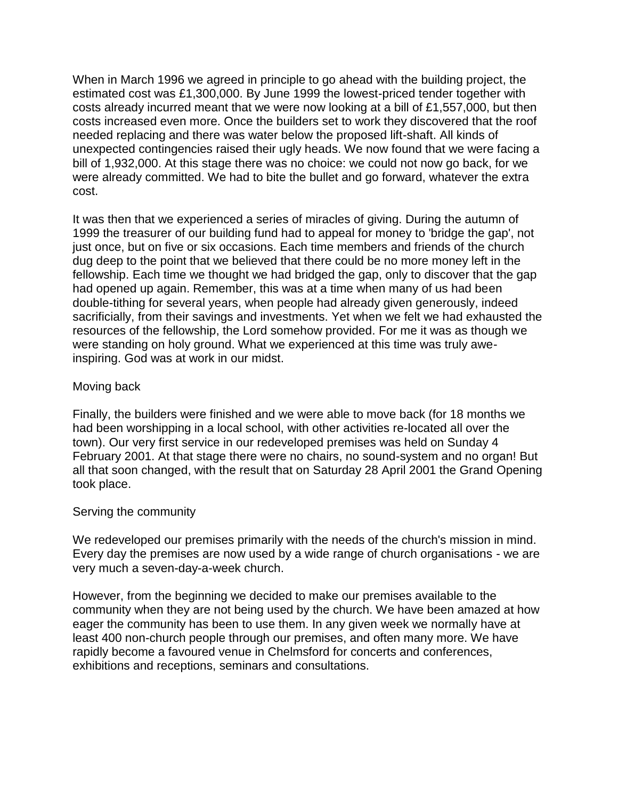When in March 1996 we agreed in principle to go ahead with the building project, the estimated cost was £1,300,000. By June 1999 the lowest-priced tender together with costs already incurred meant that we were now looking at a bill of £1,557,000, but then costs increased even more. Once the builders set to work they discovered that the roof needed replacing and there was water below the proposed lift-shaft. All kinds of unexpected contingencies raised their ugly heads. We now found that we were facing a bill of 1,932,000. At this stage there was no choice: we could not now go back, for we were already committed. We had to bite the bullet and go forward, whatever the extra cost.

It was then that we experienced a series of miracles of giving. During the autumn of 1999 the treasurer of our building fund had to appeal for money to 'bridge the gap', not just once, but on five or six occasions. Each time members and friends of the church dug deep to the point that we believed that there could be no more money left in the fellowship. Each time we thought we had bridged the gap, only to discover that the gap had opened up again. Remember, this was at a time when many of us had been double-tithing for several years, when people had already given generously, indeed sacrificially, from their savings and investments. Yet when we felt we had exhausted the resources of the fellowship, the Lord somehow provided. For me it was as though we were standing on holy ground. What we experienced at this time was truly aweinspiring. God was at work in our midst.

## Moving back

Finally, the builders were finished and we were able to move back (for 18 months we had been worshipping in a local school, with other activities re-located all over the town). Our very first service in our redeveloped premises was held on Sunday 4 February 2001. At that stage there were no chairs, no sound-system and no organ! But all that soon changed, with the result that on Saturday 28 April 2001 the Grand Opening took place.

#### Serving the community

We redeveloped our premises primarily with the needs of the church's mission in mind. Every day the premises are now used by a wide range of church organisations - we are very much a seven-day-a-week church.

However, from the beginning we decided to make our premises available to the community when they are not being used by the church. We have been amazed at how eager the community has been to use them. In any given week we normally have at least 400 non-church people through our premises, and often many more. We have rapidly become a favoured venue in Chelmsford for concerts and conferences, exhibitions and receptions, seminars and consultations.